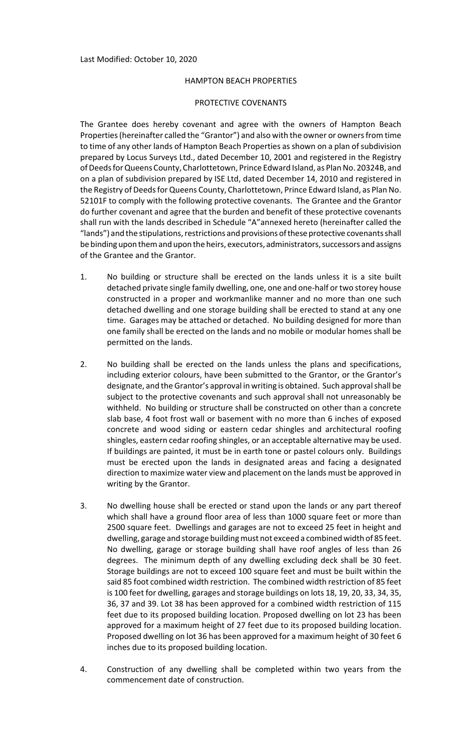## HAMPTON BEACH PROPERTIES

## PROTECTIVE COVENANTS

The Grantee does hereby covenant and agree with the owners of Hampton Beach Properties (hereinafter called the "Grantor") and also with the owner or owners from time to time of any other lands of Hampton Beach Properties as shown on a plan of subdivision prepared by Locus Surveys Ltd., dated December 10, 2001 and registered in the Registry of Deeds for Queens County, Charlottetown, Prince Edward Island, as Plan No. 20324B, and on a plan of subdivision prepared by ISE Ltd, dated December 14, 2010 and registered in the Registry of Deeds for Queens County, Charlottetown, Prince Edward Island, as Plan No. 52101F to comply with the following protective covenants. The Grantee and the Grantor do further covenant and agree that the burden and benefit of these protective covenants shall run with the lands described in Schedule "A"annexed hereto (hereinafter called the "lands") and the stipulations, restrictions and provisions of these protective covenants shall be binding upon them and upon the heirs, executors, administrators, successors and assigns of the Grantee and the Grantor.

- 1. No building or structure shall be erected on the lands unless it is a site built detached private single family dwelling, one, one and one‐half or two storey house constructed in a proper and workmanlike manner and no more than one such detached dwelling and one storage building shall be erected to stand at any one time. Garages may be attached or detached. No building designed for more than one family shall be erected on the lands and no mobile or modular homes shall be permitted on the lands.
- 2. No building shall be erected on the lands unless the plans and specifications, including exterior colours, have been submitted to the Grantor, or the Grantor's designate, and the Grantor's approval in writing is obtained. Such approval shall be subject to the protective covenants and such approval shall not unreasonably be withheld. No building or structure shall be constructed on other than a concrete slab base, 4 foot frost wall or basement with no more than 6 inches of exposed concrete and wood siding or eastern cedar shingles and architectural roofing shingles, eastern cedar roofing shingles, or an acceptable alternative may be used. If buildings are painted, it must be in earth tone or pastel colours only. Buildings must be erected upon the lands in designated areas and facing a designated direction to maximize water view and placement on the lands must be approved in writing by the Grantor.
- 3. No dwelling house shall be erected or stand upon the lands or any part thereof which shall have a ground floor area of less than 1000 square feet or more than 2500 square feet. Dwellings and garages are not to exceed 25 feet in height and dwelling, garage and storage building must not exceed a combined width of 85 feet. No dwelling, garage or storage building shall have roof angles of less than 26 degrees. The minimum depth of any dwelling excluding deck shall be 30 feet. Storage buildings are not to exceed 100 square feet and must be built within the said 85 foot combined width restriction. The combined width restriction of 85 feet is 100 feet for dwelling, garages and storage buildings on lots 18, 19, 20, 33, 34, 35, 36, 37 and 39. Lot 38 has been approved for a combined width restriction of 115 feet due to its proposed building location. Proposed dwelling on lot 23 has been approved for a maximum height of 27 feet due to its proposed building location. Proposed dwelling on lot 36 has been approved for a maximum height of 30 feet 6 inches due to its proposed building location.
- 4. Construction of any dwelling shall be completed within two years from the commencement date of construction.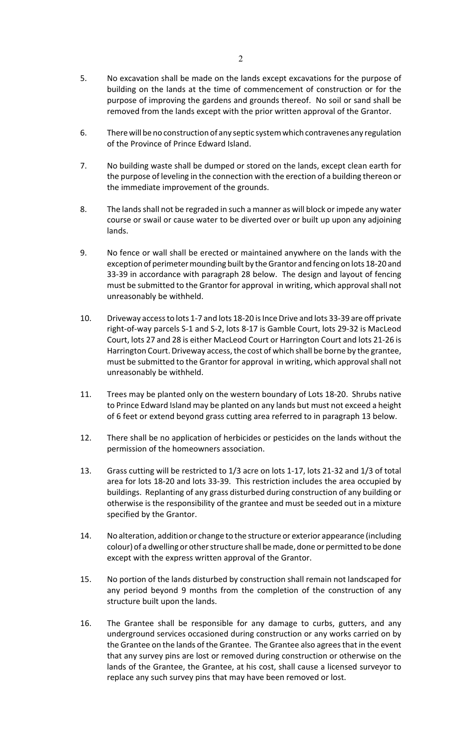- 5. No excavation shall be made on the lands except excavations for the purpose of building on the lands at the time of commencement of construction or for the purpose of improving the gardens and grounds thereof. No soil or sand shall be removed from the lands except with the prior written approval of the Grantor.
- 6. There will be no construction of any septic system which contravenes any regulation of the Province of Prince Edward Island.
- 7. No building waste shall be dumped or stored on the lands, except clean earth for the purpose of leveling in the connection with the erection of a building thereon or the immediate improvement of the grounds.
- 8. The lands shall not be regraded in such a manner as will block or impede any water course or swail or cause water to be diverted over or built up upon any adjoining lands.
- 9. No fence or wall shall be erected or maintained anywhere on the lands with the exception of perimeter mounding built by the Grantor and fencing on lots 18-20 and 33‐39 in accordance with paragraph 28 below. The design and layout of fencing must be submitted to the Grantor for approval in writing, which approvalshall not unreasonably be withheld.
- 10. Driveway accessto lots 1‐7 and lots 18‐20 isInce Drive and lots 33‐39 are off private right‐of‐way parcels S‐1 and S‐2, lots 8‐17 is Gamble Court, lots 29‐32 is MacLeod Court, lots 27 and 28 is either MacLeod Court or Harrington Court and lots 21‐26 is Harrington Court. Driveway access, the cost of which shall be borne by the grantee, must be submitted to the Grantor for approval in writing, which approvalshall not unreasonably be withheld.
- 11. Trees may be planted only on the western boundary of Lots 18‐20. Shrubs native to Prince Edward Island may be planted on any lands but must not exceed a height of 6 feet or extend beyond grass cutting area referred to in paragraph 13 below.
- 12. There shall be no application of herbicides or pesticides on the lands without the permission of the homeowners association.
- 13. Grass cutting will be restricted to 1/3 acre on lots 1‐17, lots 21‐32 and 1/3 of total area for lots 18‐20 and lots 33‐39. This restriction includes the area occupied by buildings. Replanting of any grass disturbed during construction of any building or otherwise is the responsibility of the grantee and must be seeded out in a mixture specified by the Grantor.
- 14. No alteration, addition or change to the structure or exterior appearance (including colour) of a dwelling or other structure shall be made, done or permitted to be done except with the express written approval of the Grantor.
- 15. No portion of the lands disturbed by construction shall remain not landscaped for any period beyond 9 months from the completion of the construction of any structure built upon the lands.
- 16. The Grantee shall be responsible for any damage to curbs, gutters, and any underground services occasioned during construction or any works carried on by the Grantee on the lands of the Grantee. The Grantee also agreesthat in the event that any survey pins are lost or removed during construction or otherwise on the lands of the Grantee, the Grantee, at his cost, shall cause a licensed surveyor to replace any such survey pins that may have been removed or lost.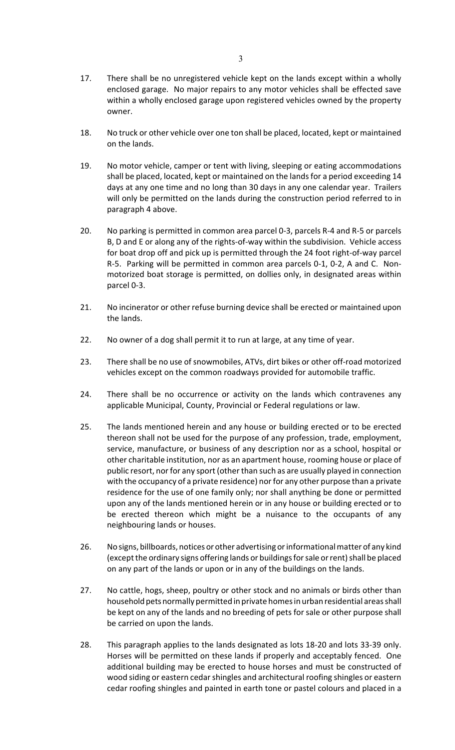- 18. No truck or other vehicle over one ton shall be placed, located, kept or maintained on the lands.
- 19. No motor vehicle, camper or tent with living, sleeping or eating accommodations shall be placed, located, kept or maintained on the lands for a period exceeding 14 days at any one time and no long than 30 days in any one calendar year. Trailers will only be permitted on the lands during the construction period referred to in paragraph 4 above.
- 20. No parking is permitted in common area parcel 0‐3, parcels R‐4 and R‐5 or parcels B, D and E or along any of the rights‐of‐way within the subdivision. Vehicle access for boat drop off and pick up is permitted through the 24 foot right‐of‐way parcel R‐5. Parking will be permitted in common area parcels 0‐1, 0‐2, A and C. Non‐ motorized boat storage is permitted, on dollies only, in designated areas within parcel 0‐3.
- 21. No incinerator or other refuse burning device shall be erected or maintained upon the lands.
- 22. No owner of a dog shall permit it to run at large, at any time of year.
- 23. There shall be no use of snowmobiles, ATVs, dirt bikes or other off-road motorized vehicles except on the common roadways provided for automobile traffic.
- 24. There shall be no occurrence or activity on the lands which contravenes any applicable Municipal, County, Provincial or Federal regulations or law.
- 25. The lands mentioned herein and any house or building erected or to be erected thereon shall not be used for the purpose of any profession, trade, employment, service, manufacture, or business of any description nor as a school, hospital or other charitable institution, nor as an apartment house, rooming house or place of public resort, nor for any sport (other than such as are usually played in connection with the occupancy of a private residence) nor for any other purpose than a private residence for the use of one family only; nor shall anything be done or permitted upon any of the lands mentioned herein or in any house or building erected or to be erected thereon which might be a nuisance to the occupants of any neighbouring lands or houses.
- 26. No signs, billboards, notices or other advertising or informational matter of any kind (except the ordinary signs offering lands or buildings for sale or rent) shall be placed on any part of the lands or upon or in any of the buildings on the lands.
- 27. No cattle, hogs, sheep, poultry or other stock and no animals or birds other than household pets normally permitted in private homes in urban residential areas shall be kept on any of the lands and no breeding of pets for sale or other purpose shall be carried on upon the lands.
- 28. This paragraph applies to the lands designated as lots 18‐20 and lots 33‐39 only. Horses will be permitted on these lands if properly and acceptably fenced. One additional building may be erected to house horses and must be constructed of wood siding or eastern cedar shingles and architectural roofing shingles or eastern cedar roofing shingles and painted in earth tone or pastel colours and placed in a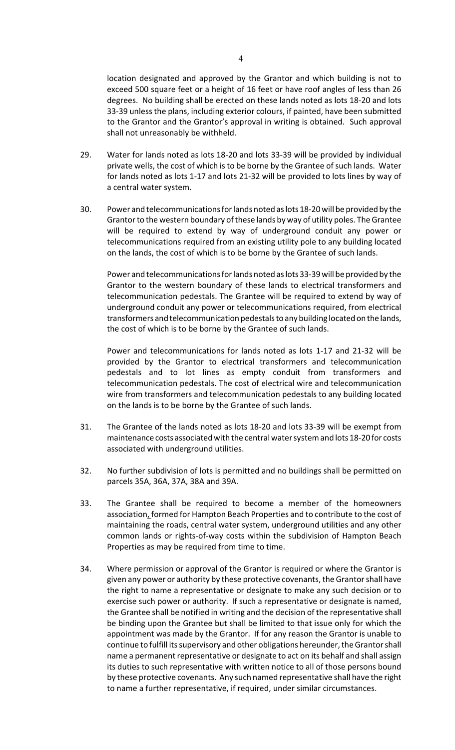location designated and approved by the Grantor and which building is not to exceed 500 square feet or a height of 16 feet or have roof angles of less than 26 degrees. No building shall be erected on these lands noted as lots 18‐20 and lots 33-39 unless the plans, including exterior colours, if painted, have been submitted to the Grantor and the Grantor's approval in writing is obtained. Such approval shall not unreasonably be withheld.

- 29. Water for lands noted as lots 18‐20 and lots 33‐39 will be provided by individual private wells, the cost of which is to be borne by the Grantee of such lands. Water for lands noted as lots 1‐17 and lots 21‐32 will be provided to lots lines by way of a central water system.
- 30. Power and telecommunicationsforlands noted aslots 18‐20will be provided by the Grantor to the western boundary of these lands by way of utility poles. The Grantee will be required to extend by way of underground conduit any power or telecommunications required from an existing utility pole to any building located on the lands, the cost of which is to be borne by the Grantee of such lands.

Power and telecommunicationsforlands noted aslots 33‐39will be provided by the Grantor to the western boundary of these lands to electrical transformers and telecommunication pedestals. The Grantee will be required to extend by way of underground conduit any power or telecommunications required, from electrical transformers and telecommunication pedestals to any building located on the lands, the cost of which is to be borne by the Grantee of such lands.

Power and telecommunications for lands noted as lots 1‐17 and 21‐32 will be provided by the Grantor to electrical transformers and telecommunication pedestals and to lot lines as empty conduit from transformers and telecommunication pedestals. The cost of electrical wire and telecommunication wire from transformers and telecommunication pedestals to any building located on the lands is to be borne by the Grantee of such lands.

- 31. The Grantee of the lands noted as lots 18‐20 and lots 33‐39 will be exempt from maintenance costs associated with the central water system and lots 18-20 for costs associated with underground utilities.
- 32. No further subdivision of lots is permitted and no buildings shall be permitted on parcels 35A, 36A, 37A, 38A and 39A.
- 33. The Grantee shall be required to become a member of the homeowners association, formed for Hampton Beach Properties and to contribute to the cost of maintaining the roads, central water system, underground utilities and any other common lands or rights‐of‐way costs within the subdivision of Hampton Beach Properties as may be required from time to time.
- 34. Where permission or approval of the Grantor is required or where the Grantor is given any power or authority by these protective covenants, the Grantor shall have the right to name a representative or designate to make any such decision or to exercise such power or authority. If such a representative or designate is named, the Grantee shall be notified in writing and the decision of the representative shall be binding upon the Grantee but shall be limited to that issue only for which the appointment was made by the Grantor. If for any reason the Grantor is unable to continue to fulfill its supervisory and other obligations hereunder, the Grantor shall name a permanent representative or designate to act on its behalf and shall assign its duties to such representative with written notice to all of those persons bound by these protective covenants. Any such named representative shall have the right to name a further representative, if required, under similar circumstances.